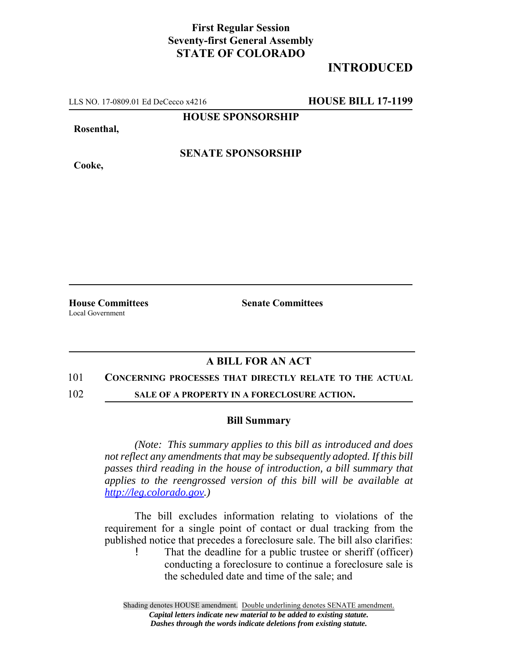## **First Regular Session Seventy-first General Assembly STATE OF COLORADO**

# **INTRODUCED**

LLS NO. 17-0809.01 Ed DeCecco x4216 **HOUSE BILL 17-1199**

**HOUSE SPONSORSHIP**

**Rosenthal,**

**Cooke,**

**SENATE SPONSORSHIP**

Local Government

**House Committees Senate Committees** 

## **A BILL FOR AN ACT**

### 101 **CONCERNING PROCESSES THAT DIRECTLY RELATE TO THE ACTUAL**

102 **SALE OF A PROPERTY IN A FORECLOSURE ACTION.**

#### **Bill Summary**

*(Note: This summary applies to this bill as introduced and does not reflect any amendments that may be subsequently adopted. If this bill passes third reading in the house of introduction, a bill summary that applies to the reengrossed version of this bill will be available at http://leg.colorado.gov.)*

The bill excludes information relating to violations of the requirement for a single point of contact or dual tracking from the published notice that precedes a foreclosure sale. The bill also clarifies: That the deadline for a public trustee or sheriff (officer)

conducting a foreclosure to continue a foreclosure sale is the scheduled date and time of the sale; and

Shading denotes HOUSE amendment. Double underlining denotes SENATE amendment. *Capital letters indicate new material to be added to existing statute. Dashes through the words indicate deletions from existing statute.*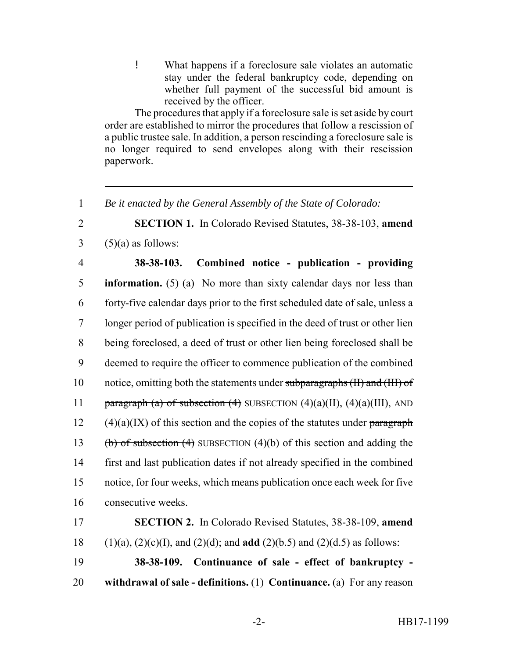! What happens if a foreclosure sale violates an automatic stay under the federal bankruptcy code, depending on whether full payment of the successful bid amount is received by the officer.

The procedures that apply if a foreclosure sale is set aside by court order are established to mirror the procedures that follow a rescission of a public trustee sale. In addition, a person rescinding a foreclosure sale is no longer required to send envelopes along with their rescission paperwork.

1 *Be it enacted by the General Assembly of the State of Colorado:*

2 **SECTION 1.** In Colorado Revised Statutes, 38-38-103, **amend**  $3 \quad (5)(a)$  as follows:

 **38-38-103. Combined notice - publication - providing information.** (5) (a) No more than sixty calendar days nor less than forty-five calendar days prior to the first scheduled date of sale, unless a longer period of publication is specified in the deed of trust or other lien being foreclosed, a deed of trust or other lien being foreclosed shall be deemed to require the officer to commence publication of the combined 10 notice, omitting both the statements under subparagraphs (II) and (III) of 11 paragraph (a) of subsection (4) SUBSECTION  $(4)(a)(II)$ ,  $(4)(a)(III)$ , AND 12 (4)(a)(IX) of this section and the copies of the statutes under paragraph 13 (b) of subsection (4) SUBSECTION (4)(b) of this section and adding the first and last publication dates if not already specified in the combined notice, for four weeks, which means publication once each week for five consecutive weeks.

17 **SECTION 2.** In Colorado Revised Statutes, 38-38-109, **amend** 18 (1)(a), (2)(c)(I), and (2)(d); and **add** (2)(b.5) and (2)(d.5) as follows: 19 **38-38-109. Continuance of sale - effect of bankruptcy -**

20 **withdrawal of sale - definitions.** (1) **Continuance.** (a) For any reason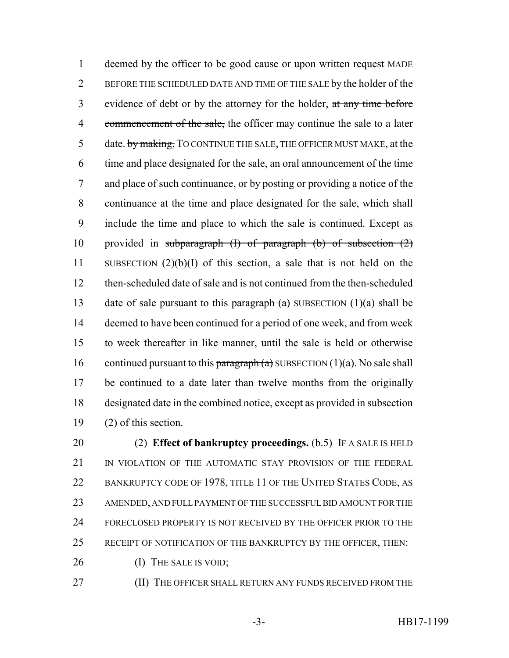deemed by the officer to be good cause or upon written request MADE BEFORE THE SCHEDULED DATE AND TIME OF THE SALE by the holder of the 3 evidence of debt or by the attorney for the holder, at any time before 4 commencement of the sale, the officer may continue the sale to a later 5 date. by making, TO CONTINUE THE SALE, THE OFFICER MUST MAKE, at the time and place designated for the sale, an oral announcement of the time and place of such continuance, or by posting or providing a notice of the continuance at the time and place designated for the sale, which shall include the time and place to which the sale is continued. Except as 10 provided in subparagraph  $(I)$  of paragraph  $(b)$  of subsection  $(2)$  SUBSECTION (2)(b)(I) of this section, a sale that is not held on the then-scheduled date of sale and is not continued from the then-scheduled 13 date of sale pursuant to this paragraph  $(a)$  SUBSECTION (1)(a) shall be deemed to have been continued for a period of one week, and from week to week thereafter in like manner, until the sale is held or otherwise 16 continued pursuant to this paragraph  $(a)$  SUBSECTION  $(1)(a)$ . No sale shall be continued to a date later than twelve months from the originally designated date in the combined notice, except as provided in subsection (2) of this section.

 (2) **Effect of bankruptcy proceedings.** (b.5) IF A SALE IS HELD 21 IN VIOLATION OF THE AUTOMATIC STAY PROVISION OF THE FEDERAL 22 BANKRUPTCY CODE OF 1978, TITLE 11 OF THE UNITED STATES CODE, AS AMENDED, AND FULL PAYMENT OF THE SUCCESSFUL BID AMOUNT FOR THE FORECLOSED PROPERTY IS NOT RECEIVED BY THE OFFICER PRIOR TO THE RECEIPT OF NOTIFICATION OF THE BANKRUPTCY BY THE OFFICER, THEN:

26 (I) THE SALE IS VOID;

**(II) THE OFFICER SHALL RETURN ANY FUNDS RECEIVED FROM THE**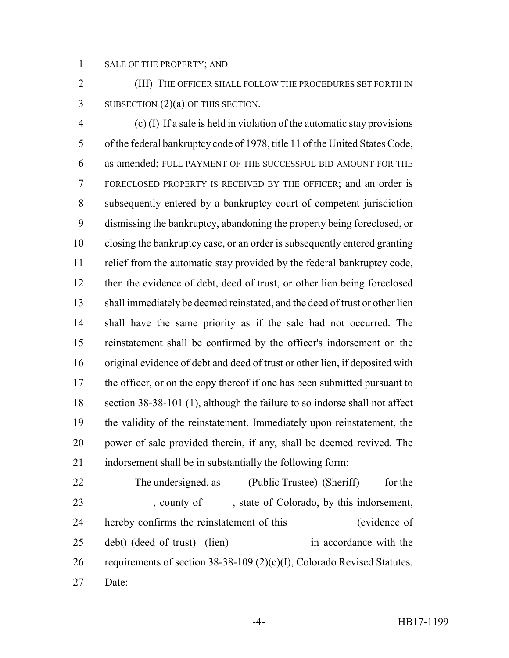SALE OF THE PROPERTY; AND

 (III) THE OFFICER SHALL FOLLOW THE PROCEDURES SET FORTH IN 3 SUBSECTION (2)(a) OF THIS SECTION.

 (c) (I) If a sale is held in violation of the automatic stay provisions of the federal bankruptcy code of 1978, title 11 of the United States Code, as amended; FULL PAYMENT OF THE SUCCESSFUL BID AMOUNT FOR THE FORECLOSED PROPERTY IS RECEIVED BY THE OFFICER; and an order is subsequently entered by a bankruptcy court of competent jurisdiction dismissing the bankruptcy, abandoning the property being foreclosed, or closing the bankruptcy case, or an order is subsequently entered granting relief from the automatic stay provided by the federal bankruptcy code, then the evidence of debt, deed of trust, or other lien being foreclosed shall immediately be deemed reinstated, and the deed of trust or other lien shall have the same priority as if the sale had not occurred. The reinstatement shall be confirmed by the officer's indorsement on the original evidence of debt and deed of trust or other lien, if deposited with 17 the officer, or on the copy thereof if one has been submitted pursuant to section 38-38-101 (1), although the failure to so indorse shall not affect the validity of the reinstatement. Immediately upon reinstatement, the power of sale provided therein, if any, shall be deemed revived. The indorsement shall be in substantially the following form:

22 The undersigned, as (Public Trustee) (Sheriff) for the 23 county of , state of Colorado, by this indorsement, 24 hereby confirms the reinstatement of this \_\_\_\_\_\_\_\_\_\_\_\_(evidence of 25 debt) (deed of trust) (lien) in accordance with the requirements of section 38-38-109 (2)(c)(I), Colorado Revised Statutes. Date: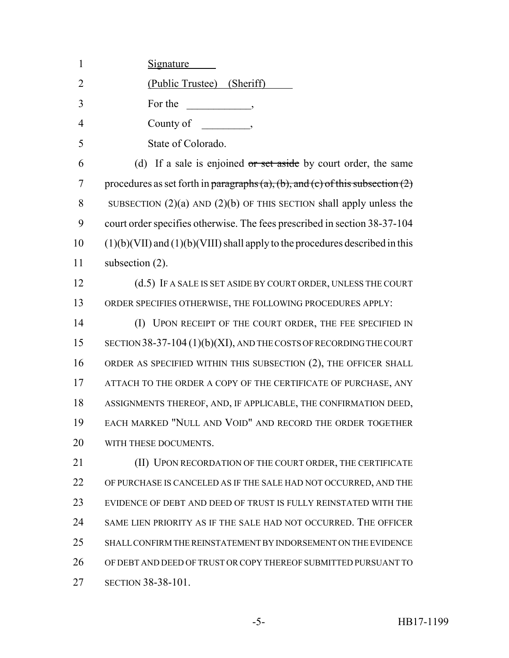| $\mathbf{1}$   | <u>Signature</u>                                                                 |
|----------------|----------------------------------------------------------------------------------|
| $\overline{2}$ | (Public Trustee) (Sheriff)                                                       |
| 3              | For the<br>$\overline{\phantom{a}}$                                              |
| $\overline{4}$ | County of<br>$\overline{\phantom{a}}$                                            |
| 5              | State of Colorado.                                                               |
| 6              | (d) If a sale is enjoined $\sigma$ set aside by court order, the same            |
| 7              | procedures as set forth in paragraphs (a), (b), and (c) of this subsection (2)   |
| 8              | SUBSECTION $(2)(a)$ AND $(2)(b)$ OF THIS SECTION shall apply unless the          |
| 9              | court order specifies otherwise. The fees prescribed in section 38-37-104        |
| 10             | $(1)(b)(VII)$ and $(1)(b)(VIII)$ shall apply to the procedures described in this |
| 11             | subsection $(2)$ .                                                               |
| 12             | (d.5) IF A SALE IS SET ASIDE BY COURT ORDER, UNLESS THE COURT                    |
| 13             | ORDER SPECIFIES OTHERWISE, THE FOLLOWING PROCEDURES APPLY:                       |
| 14             | (I) UPON RECEIPT OF THE COURT ORDER, THE FEE SPECIFIED IN                        |
| 15             | SECTION 38-37-104 (1)(b)(XI), AND THE COSTS OF RECORDING THE COURT               |
| 16             | ORDER AS SPECIFIED WITHIN THIS SUBSECTION (2), THE OFFICER SHALL                 |
| 17             | ATTACH TO THE ORDER A COPY OF THE CERTIFICATE OF PURCHASE, ANY                   |
| 18             | ASSIGNMENTS THEREOF, AND, IF APPLICABLE, THE CONFIRMATION DEED,                  |
| 19             | EACH MARKED "NULL AND VOID" AND RECORD THE ORDER TOGETHER                        |
| 20             | WITH THESE DOCUMENTS.                                                            |
| 21             | (II) UPON RECORDATION OF THE COURT ORDER, THE CERTIFICATE                        |
| 22             | OF PURCHASE IS CANCELED AS IF THE SALE HAD NOT OCCURRED, AND THE                 |
| 23             | EVIDENCE OF DEBT AND DEED OF TRUST IS FULLY REINSTATED WITH THE                  |
| 24             | SAME LIEN PRIORITY AS IF THE SALE HAD NOT OCCURRED. THE OFFICER                  |
| 25             | SHALL CONFIRM THE REINSTATEMENT BY INDORSEMENT ON THE EVIDENCE                   |
| 26             | OF DEBT AND DEED OF TRUST OR COPY THEREOF SUBMITTED PURSUANT TO                  |
|                |                                                                                  |

27 SECTION 38-38-101.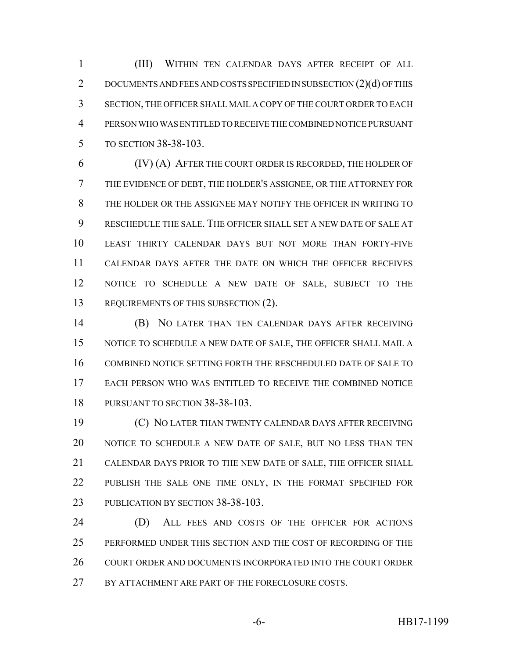(III) WITHIN TEN CALENDAR DAYS AFTER RECEIPT OF ALL 2 DOCUMENTS AND FEES AND COSTS SPECIFIED IN SUBSECTION (2)(d) OF THIS SECTION, THE OFFICER SHALL MAIL A COPY OF THE COURT ORDER TO EACH PERSON WHO WAS ENTITLED TO RECEIVE THE COMBINED NOTICE PURSUANT TO SECTION 38-38-103.

 (IV) (A) AFTER THE COURT ORDER IS RECORDED, THE HOLDER OF THE EVIDENCE OF DEBT, THE HOLDER'S ASSIGNEE, OR THE ATTORNEY FOR THE HOLDER OR THE ASSIGNEE MAY NOTIFY THE OFFICER IN WRITING TO RESCHEDULE THE SALE. THE OFFICER SHALL SET A NEW DATE OF SALE AT LEAST THIRTY CALENDAR DAYS BUT NOT MORE THAN FORTY-FIVE CALENDAR DAYS AFTER THE DATE ON WHICH THE OFFICER RECEIVES NOTICE TO SCHEDULE A NEW DATE OF SALE, SUBJECT TO THE 13 REQUIREMENTS OF THIS SUBSECTION (2).

 (B) NO LATER THAN TEN CALENDAR DAYS AFTER RECEIVING NOTICE TO SCHEDULE A NEW DATE OF SALE, THE OFFICER SHALL MAIL A COMBINED NOTICE SETTING FORTH THE RESCHEDULED DATE OF SALE TO EACH PERSON WHO WAS ENTITLED TO RECEIVE THE COMBINED NOTICE PURSUANT TO SECTION 38-38-103.

 (C) NO LATER THAN TWENTY CALENDAR DAYS AFTER RECEIVING NOTICE TO SCHEDULE A NEW DATE OF SALE, BUT NO LESS THAN TEN CALENDAR DAYS PRIOR TO THE NEW DATE OF SALE, THE OFFICER SHALL 22 PUBLISH THE SALE ONE TIME ONLY, IN THE FORMAT SPECIFIED FOR 23 PUBLICATION BY SECTION 38-38-103.

 (D) ALL FEES AND COSTS OF THE OFFICER FOR ACTIONS PERFORMED UNDER THIS SECTION AND THE COST OF RECORDING OF THE 26 COURT ORDER AND DOCUMENTS INCORPORATED INTO THE COURT ORDER 27 BY ATTACHMENT ARE PART OF THE FORECLOSURE COSTS.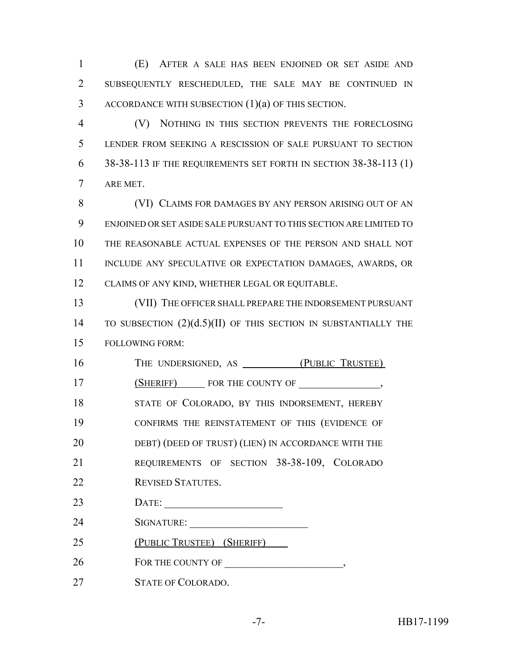(E) AFTER A SALE HAS BEEN ENJOINED OR SET ASIDE AND SUBSEQUENTLY RESCHEDULED, THE SALE MAY BE CONTINUED IN ACCORDANCE WITH SUBSECTION (1)(a) OF THIS SECTION.

 (V) NOTHING IN THIS SECTION PREVENTS THE FORECLOSING LENDER FROM SEEKING A RESCISSION OF SALE PURSUANT TO SECTION 38-38-113 IF THE REQUIREMENTS SET FORTH IN SECTION 38-38-113 (1) ARE MET.

 (VI) CLAIMS FOR DAMAGES BY ANY PERSON ARISING OUT OF AN ENJOINED OR SET ASIDE SALE PURSUANT TO THIS SECTION ARE LIMITED TO THE REASONABLE ACTUAL EXPENSES OF THE PERSON AND SHALL NOT 11 INCLUDE ANY SPECULATIVE OR EXPECTATION DAMAGES, AWARDS, OR CLAIMS OF ANY KIND, WHETHER LEGAL OR EQUITABLE.

 (VII) THE OFFICER SHALL PREPARE THE INDORSEMENT PURSUANT 14 TO SUBSECTION  $(2)(d.5)(II)$  OF THIS SECTION IN SUBSTANTIALLY THE FOLLOWING FORM:

16 THE UNDERSIGNED, AS <u>(PUBLIC TRUS</u>TEE) 17 (SHERIFF) FOR THE COUNTY OF  $\,$ , 18 STATE OF COLORADO, BY THIS INDORSEMENT, HEREBY CONFIRMS THE REINSTATEMENT OF THIS (EVIDENCE OF 20 DEBT) (DEED OF TRUST) (LIEN) IN ACCORDANCE WITH THE REQUIREMENTS OF SECTION 38-38-109, COLORADO REVISED STATUTES. DATE: \_\_\_\_\_\_\_\_\_\_\_\_\_\_\_\_\_\_\_\_\_\_ 24 SIGNATURE: (PUBLIC TRUSTEE) (SHERIFF) FOR THE COUNTY OF \_\_\_\_\_\_\_\_\_\_\_\_\_\_\_\_\_\_\_\_\_\_, STATE OF COLORADO.